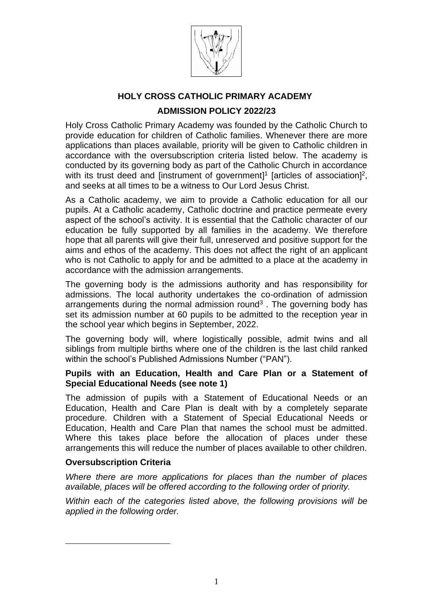

# **HOLY CROSS CATHOLIC PRIMARY ACADEMY ADMISSION POLICY 2022/23**

Holy Cross Catholic Primary Academy was founded by the Catholic Church to provide education for children of Catholic families. Whenever there are more applications than places available, priority will be given to Catholic children in accordance with the oversubscription criteria listed below. The academy is conducted by its governing body as part of the Catholic Church in accordance with its trust deed and [instrument of government]<sup>1</sup> [articles of association]<sup>2</sup>, and seeks at all times to be a witness to Our Lord Jesus Christ.

As a Catholic academy, we aim to provide a Catholic education for all our pupils. At a Catholic academy, Catholic doctrine and practice permeate every aspect of the school's activity. It is essential that the Catholic character of our education be fully supported by all families in the academy. We therefore hope that all parents will give their full, unreserved and positive support for the aims and ethos of the academy. This does not affect the right of an applicant who is not Catholic to apply for and be admitted to a place at the academy in accordance with the admission arrangements.

The governing body is the admissions authority and has responsibility for admissions. The local authority undertakes the co-ordination of admission arrangements during the normal admission round $3$ . The governing body has set its admission number at 60 pupils to be admitted to the reception year in the school year which begins in September, 2022.

The governing body will, where logistically possible, admit twins and all siblings from multiple births where one of the children is the last child ranked within the school's Published Admissions Number ("PAN").

## **Pupils with an Education, Health and Care Plan or a Statement of Special Educational Needs (see note 1)**

The admission of pupils with a Statement of Educational Needs or an Education, Health and Care Plan is dealt with by a completely separate procedure. Children with a Statement of Special Educational Needs or Education, Health and Care Plan that names the school must be admitted. Where this takes place before the allocation of places under these arrangements this will reduce the number of places available to other children.

## **Oversubscription Criteria**

*Where there are more applications for places than the number of places available, places will be offered according to the following order of priority.*

*Within each of the categories listed above, the following provisions will be applied in the following order.*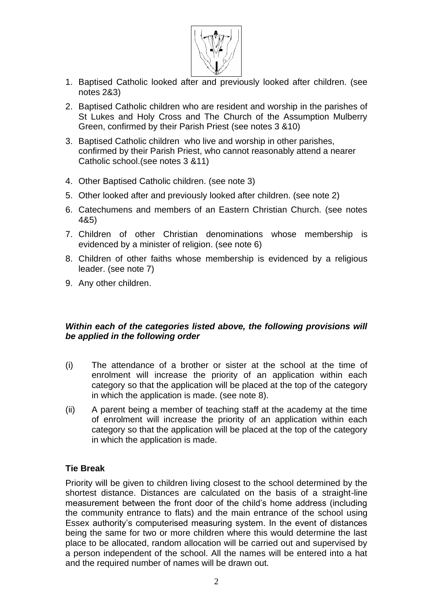

- 1. Baptised Catholic looked after and previously looked after children. (see notes 2&3)
- 2. Baptised Catholic children who are resident and worship in the parishes of St Lukes and Holy Cross and The Church of the Assumption Mulberry Green, confirmed by their Parish Priest (see notes 3 &10)
- 3. Baptised Catholic children who live and worship in other parishes, confirmed by their Parish Priest, who cannot reasonably attend a nearer Catholic school.(see notes 3 &11)
- 4. Other Baptised Catholic children. (see note 3)
- 5. Other looked after and previously looked after children. (see note 2)
- 6. Catechumens and members of an Eastern Christian Church. (see notes 4&5)
- 7. Children of other Christian denominations whose membership is evidenced by a minister of religion. (see note 6)
- 8. Children of other faiths whose membership is evidenced by a religious leader. (see note 7)
- 9. Any other children.

# *Within each of the categories listed above, the following provisions will be applied in the following order*

- (i) The attendance of a brother or sister at the school at the time of enrolment will increase the priority of an application within each category so that the application will be placed at the top of the category in which the application is made. (see note 8).
- (ii) A parent being a member of teaching staff at the academy at the time of enrolment will increase the priority of an application within each category so that the application will be placed at the top of the category in which the application is made.

# **Tie Break**

Priority will be given to children living closest to the school determined by the shortest distance. Distances are calculated on the basis of a straight-line measurement between the front door of the child's home address (including the community entrance to flats) and the main entrance of the school using Essex authority's computerised measuring system. In the event of distances being the same for two or more children where this would determine the last place to be allocated, random allocation will be carried out and supervised by a person independent of the school. All the names will be entered into a hat and the required number of names will be drawn out.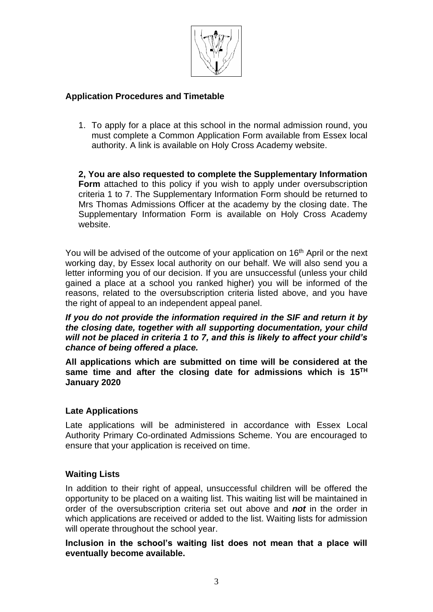

## **Application Procedures and Timetable**

1. To apply for a place at this school in the normal admission round, you must complete a Common Application Form available from Essex local authority. A link is available on Holy Cross Academy website.

**2, You are also requested to complete the Supplementary Information Form** attached to this policy if you wish to apply under oversubscription criteria 1 to 7. The Supplementary Information Form should be returned to Mrs Thomas Admissions Officer at the academy by the closing date. The Supplementary Information Form is available on Holy Cross Academy website.

You will be advised of the outcome of your application on 16<sup>th</sup> April or the next working day, by Essex local authority on our behalf. We will also send you a letter informing you of our decision. If you are unsuccessful (unless your child gained a place at a school you ranked higher) you will be informed of the reasons, related to the oversubscription criteria listed above, and you have the right of appeal to an independent appeal panel.

*If you do not provide the information required in the SIF and return it by the closing date, together with all supporting documentation, your child will not be placed in criteria 1 to 7, and this is likely to affect your child's chance of being offered a place.*

**All applications which are submitted on time will be considered at the same time and after the closing date for admissions which is 15TH January 2020**

## **Late Applications**

Late applications will be administered in accordance with Essex Local Authority Primary Co-ordinated Admissions Scheme. You are encouraged to ensure that your application is received on time.

# **Waiting Lists**

In addition to their right of appeal, unsuccessful children will be offered the opportunity to be placed on a waiting list. This waiting list will be maintained in order of the oversubscription criteria set out above and *not* in the order in which applications are received or added to the list. Waiting lists for admission will operate throughout the school year.

**Inclusion in the school's waiting list does not mean that a place will eventually become available.**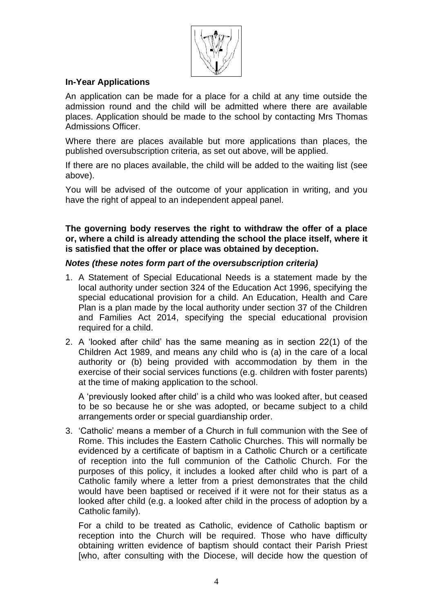

## **In-Year Applications**

An application can be made for a place for a child at any time outside the admission round and the child will be admitted where there are available places. Application should be made to the school by contacting Mrs Thomas Admissions Officer.

Where there are places available but more applications than places, the published oversubscription criteria, as set out above, will be applied.

If there are no places available, the child will be added to the waiting list (see above).

You will be advised of the outcome of your application in writing, and you have the right of appeal to an independent appeal panel.

**The governing body reserves the right to withdraw the offer of a place or, where a child is already attending the school the place itself, where it is satisfied that the offer or place was obtained by deception.**

## *Notes (these notes form part of the oversubscription criteria)*

- 1. A Statement of Special Educational Needs is a statement made by the local authority under section 324 of the Education Act 1996, specifying the special educational provision for a child. An Education, Health and Care Plan is a plan made by the local authority under section 37 of the Children and Families Act 2014, specifying the special educational provision required for a child.
- 2. A 'looked after child' has the same meaning as in section 22(1) of the Children Act 1989, and means any child who is (a) in the care of a local authority or (b) being provided with accommodation by them in the exercise of their social services functions (e.g. children with foster parents) at the time of making application to the school.

A 'previously looked after child' is a child who was looked after, but ceased to be so because he or she was adopted, or became subject to a child arrangements order or special guardianship order.

3. 'Catholic' means a member of a Church in full communion with the See of Rome. This includes the Eastern Catholic Churches. This will normally be evidenced by a certificate of baptism in a Catholic Church or a certificate of reception into the full communion of the Catholic Church. For the purposes of this policy, it includes a looked after child who is part of a Catholic family where a letter from a priest demonstrates that the child would have been baptised or received if it were not for their status as a looked after child (e.g. a looked after child in the process of adoption by a Catholic family).

For a child to be treated as Catholic, evidence of Catholic baptism or reception into the Church will be required. Those who have difficulty obtaining written evidence of baptism should contact their Parish Priest [who, after consulting with the Diocese, will decide how the question of